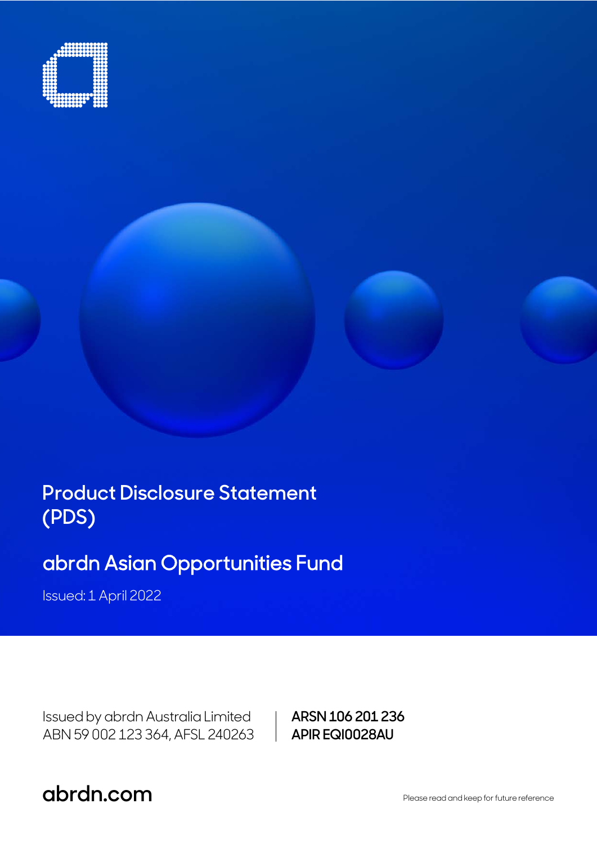

**Product Disclosure Statement (PDS)** 

# abrdn Asian Opportunities Fund

Issued: 1 April 2022

Issued by abrdn Australia Limited ABN 59 002 123 364, AFSL 240263 **ARSN 106 201 236 APIR EQI0028AU**

**abrdn.com .com** Please read and keep for future reference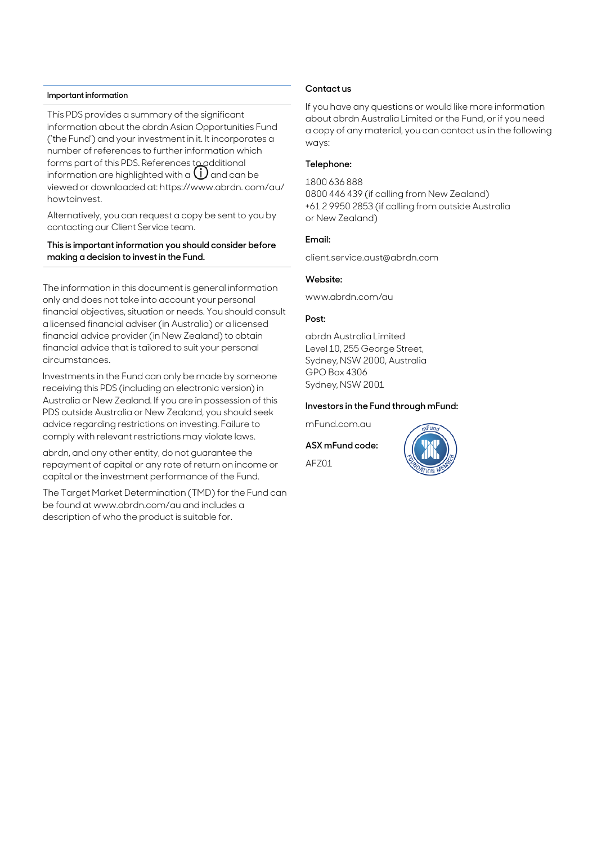#### **Important information**

This PDS provides a summary of the significant information about the abrdn Asian Opportunities Fund ('the Fund') and your investment in it. It incorporates a number of references to further information which forms part of this PDS. References to additional information are highlighted with a  $\bigcup$  and can be viewed or downloaded at: https://www.abrdn. com/au/ howtoinvest.

Alternatively, you can request a copy be sent to you by contacting our Client Service team.

### **This is important information you should consider before making a decision to invest in the Fund.**

The information in this document is general information only and does not take into account your personal financial objectives, situation or needs. You should consult a licensed financial adviser (in Australia) or a licensed financial advice provider (in New Zealand) to obtain financial advice that is tailored to suit your personal circumstances.

Investments in the Fund can only be made by someone receiving this PDS (including an electronic version) in Australia or New Zealand. If you are in possession of this PDS outside Australia or New Zealand, you should seek advice regarding restrictions on investing. Failure to comply with relevant restrictions may violate laws.

abrdn, and any other entity, do not guarantee the repayment of capital or any rate of return on income or capital or the investment performance of the Fund.

The Target Market Determination (TMD) for the Fund can be found at www.abrdn.com/au and includes a description of who the product is suitable for.

### **Contact us**

If you have any questions or would like more information about abrdn Australia Limited or the Fund, or if you need a copy of any material, you can contact us in the following ways:

### **Telephone:**

1800 636 888 0800 446 439 (if calling from New Zealand) +61 2 9950 2853 (if calling from outside Australia or New Zealand)

#### **Email:**

client.service.aust@abrdn.com

### **Website:**

www.abrdn.com/au

#### **Post:**

abrdn Australia Limited Level 10, 255 George Street, Sydney, NSW 2000, Australia GPO Box 4306 Sydney, NSW 2001

#### **Investors in the Fund through mFund:**

mFund.com.au

**ASX mFund code:** 

AFZ01

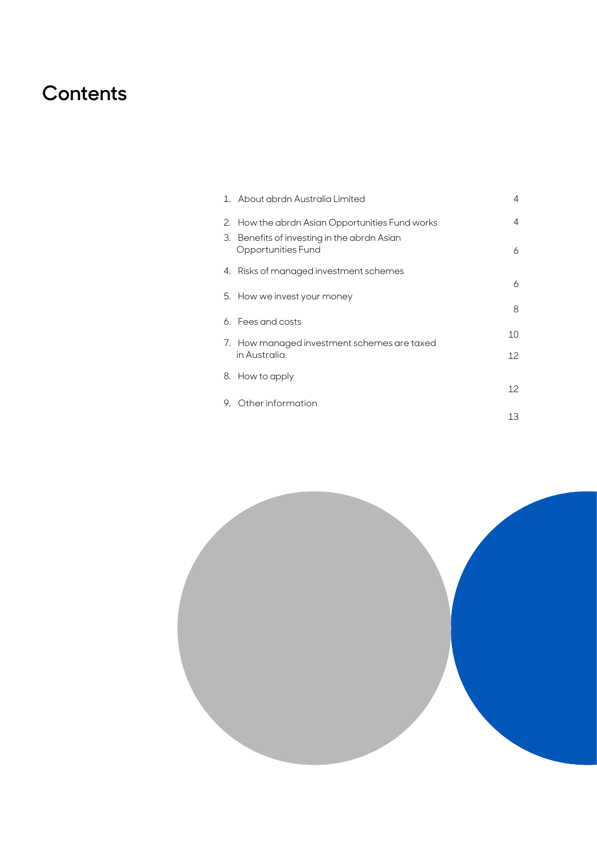# **Contents**

|    | 1. About abrdn Australia Limited                               | 4  |
|----|----------------------------------------------------------------|----|
|    | 2. How the abrdn Asian Opportunities Fund works                | 4  |
| З. | Benefits of investing in the abrdn Asian<br>Opportunities Fund | 6  |
|    | 4. Risks of managed investment schemes                         |    |
|    | 5. How we invest your money                                    | 6  |
|    |                                                                | 8  |
|    | 6. Eees and costs                                              |    |
|    | 7. How managed investment schemes are taxed                    | 10 |
|    | in Australia                                                   | 12 |
|    | 8. How to apply                                                |    |
|    |                                                                | 12 |
|    | 9. Other information                                           |    |
|    |                                                                | 13 |

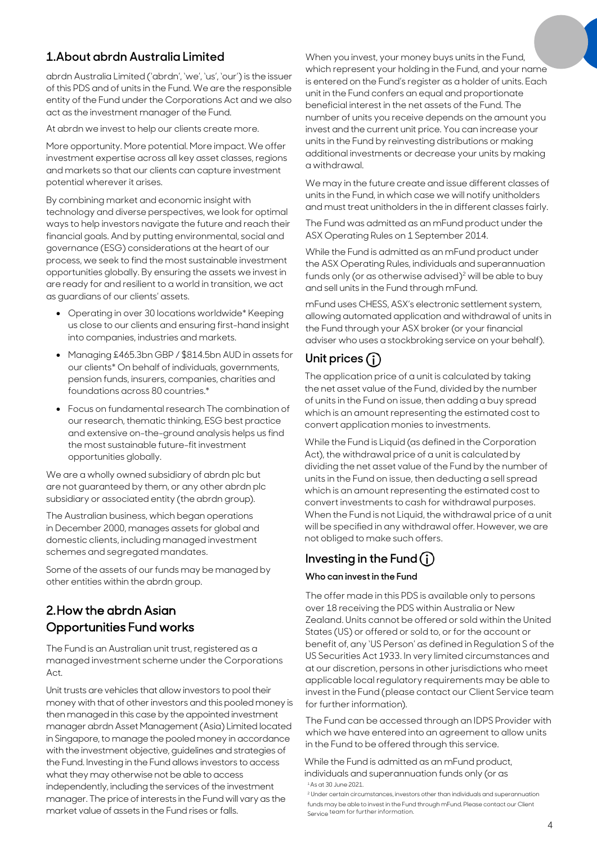# **1.About abrdn Australia Limited**

abrdn Australia Limited ('abrdn', 'we', 'us', 'our') is the issuer of this PDS and of units in the Fund. We are the responsible entity of the Fund under the Corporations Act and we also act as the investment manager of the Fund.

At abrdn we invest to help our clients create more.

More opportunity. More potential. More impact. We offer investment expertise across all key asset classes, regions and markets so that our clients can capture investment potential wherever it arises.

By combining market and economic insight with technology and diverse perspectives, we look for optimal ways to help investors navigate the future and reach their financial goals. And by putting environmental, social and governance (ESG) considerations at the heart of our process, we seek to find the most sustainable investment opportunities globally. By ensuring the assets we invest in are ready for and resilient to a world in transition, we act as guardians of our clients' assets.

- Operating in over 30 locations worldwide\* Keeping us close to our clients and ensuring first-hand insight into companies, industries and markets.
- Managing £465.3bn GBP / \$814.5bn AUD in assets for our clients\* On behalf of individuals, governments, pension funds, insurers, companies, charities and foundations across 80 countries.\*
- Focus on fundamental research The combination of our research, thematic thinking, ESG best practice and extensive on-the-ground analysis helps us find the most sustainable future-fit investment opportunities globally.

We are a wholly owned subsidiary of abrdn plc but are not guaranteed by them, or any other abrdn plc subsidiary or associated entity (the abrdn group).

The Australian business, which began operations in December 2000, manages assets for global and domestic clients, including managed investment schemes and segregated mandates.

Some of the assets of our funds may be managed by other entities within the abrdn group.

# 2. How the abrdn Asian Opportunities Fund works

The Fund is an Australian unit trust, registered as a managed investment scheme under the Corporations  $\Delta$ ct

Unit trusts are vehicles that allow investors to pool their money with that of other investors and this pooled money is then managed in this case by the appointed investment manager abrdn Asset Management (Asia) Limited located in Singapore, to manage the pooled money in accordance with the investment objective, guidelines and strategies of the Fund. Investing in the Fund allows investors to access what they may otherwise not be able to access independently, including the services of the investment manager. The price of interests in the Fund will vary as the market value of assets in the Fund rises or falls.

When you invest, your money buys units in the Fund, which represent your holding in the Fund, and your name is entered on the Fund's register as a holder of units. Each unit in the Fund confers an equal and proportionate beneficial interest in the net assets of the Fund. The number of units you receive depends on the amount you invest and the current unit price. You can increase your units in the Fund by reinvesting distributions or making additional investments or decrease your units by making a withdrawal.

We may in the future create and issue different classes of units in the Fund, in which case we will notify unitholders and must treat unitholders in the in different classes fairly.

The Fund was admitted as an mFund product under the ASX Operating Rules on 1 September 2014.

While the Fund is admitted as an mFund product under the ASX Operating Rules, individuals and superannuation funds only (or as otherwise advised)<sup>2</sup> will be able to buy and sell units in the Fund through mFund.

mFund uses CHESS, ASX's electronic settlement system, allowing automated application and withdrawal of units in the Fund through your ASX broker (or your financial adviser who uses a stockbroking service on your behalf).

# **Unit prices**

The application price of a unit is calculated by taking the net asset value of the Fund, divided by the number of units in the Fund on issue, then adding a buy spread which is an amount representing the estimated cost to convert application monies to investments.

While the Fund is Liquid (as defined in the Corporation Act), the withdrawal price of a unit is calculated by dividing the net asset value of the Fund by the number of units in the Fund on issue, then deducting a sell spread which is an amount representing the estimated cost to convert investments to cash for withdrawal purposes. When the Fund is not Liquid, the withdrawal price of a unit will be specified in any withdrawal offer. However, we are not obliged to make such offers.

# **Investing in the Fund**

### **Who can invest in the Fund**

The offer made in this PDS is available only to persons over 18 receiving the PDS within Australia or New Zealand. Units cannot be offered or sold within the United States (US) or offered or sold to, or for the account or benefit of, any 'US Person' as defined in Regulation S of the US Securities Act 1933. In very limited circumstances and at our discretion, persons in other jurisdictions who meet applicable local regulatory requirements may be able to invest in the Fund (please contact our Client Service team for further information).

The Fund can be accessed through an IDPS Provider with which we have entered into an agreement to allow units in the Fund to be offered through this service.

<sup>1</sup>As at 30 June 2021. While the Fund is admitted as an mFund product, individuals and superannuation funds only (or as

<sup>2</sup> Under certain circumstances, investors other than individuals and superannuation funds may be able to invest in the Fund through mFund. Please contact our Client Service team for further information.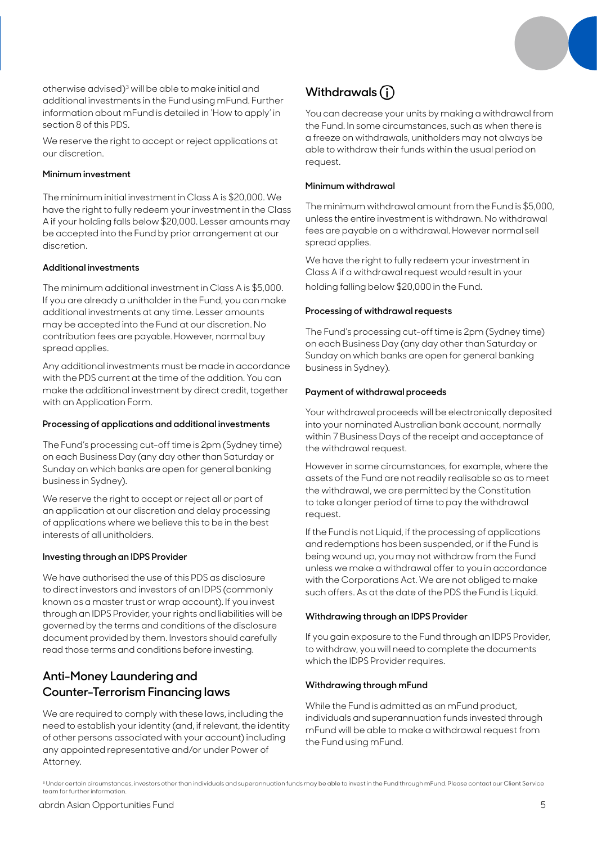

otherwise advised)3 will be able to make initial and additional investments in the Fund using mFund. Further information about mFund is detailed in 'How to apply' in section 8 of this PDS.

We reserve the right to accept or reject applications at our discretion.

### **Minimum investment**

The minimum initial investment in Class A is \$20,000. We have the right to fully redeem your investment in the Class A if your holding falls below \$20,000. Lesser amounts may be accepted into the Fund by prior arrangement at our discretion.

### **Additional investments**

The minimum additional investment in Class A is \$5,000. If you are already a unitholder in the Fund, you can make additional investments at any time. Lesser amounts may be accepted into the Fund at our discretion. No contribution fees are payable. However, normal buy spread applies.

Any additional investments must be made in accordance with the PDS current at the time of the addition. You can make the additional investment by direct credit, together with an Application Form.

### **Processing of applications and additional investments**

The Fund's processing cut-off time is 2pm (Sydney time) on each Business Day (any day other than Saturday or Sunday on which banks are open for general banking business in Sydney).

We reserve the right to accept or reject all or part of an application at our discretion and delay processing of applications where we believe this to be in the best interests of all unitholders.

### **Investing through an IDPS Provider**

We have authorised the use of this PDS as disclosure to direct investors and investors of an IDPS (commonly known as a master trust or wrap account). If you invest through an IDPS Provider, your rights and liabilities will be governed by the terms and conditions of the disclosure document provided by them. Investors should carefully read those terms and conditions before investing.

# **Anti-Money Laundering and Counter-Terrorism Financing laws**

We are required to comply with these laws, including the need to establish your identity (and, if relevant, the identity of other persons associated with your account) including any appointed representative and/or under Power of Attorney.

# **Withdrawals**

You can decrease your units by making a withdrawal from the Fund. In some circumstances, such as when there is a freeze on withdrawals, unitholders may not always be able to withdraw their funds within the usual period on request.

### **Minimum withdrawal**

The minimum withdrawal amount from the Fund is \$5,000, unless the entire investment is withdrawn. No withdrawal fees are payable on a withdrawal. However normal sell spread applies.

We have the right to fully redeem your investment in Class A if a withdrawal request would result in your holding falling below \$20,000 in the Fund.

### **Processing of withdrawal requests**

The Fund's processing cut-off time is 2pm (Sydney time) on each Business Day (any day other than Saturday or Sunday on which banks are open for general banking business in Sydney).

### **Payment of withdrawal proceeds**

Your withdrawal proceeds will be electronically deposited into your nominated Australian bank account, normally within 7 Business Days of the receipt and acceptance of the withdrawal request.

However in some circumstances, for example, where the assets of the Fund are not readily realisable so as to meet the withdrawal, we are permitted by the Constitution to take a longer period of time to pay the withdrawal request.

If the Fund is not Liquid, if the processing of applications and redemptions has been suspended, or if the Fund is being wound up, you may not withdraw from the Fund unless we make a withdrawal offer to you in accordance with the Corporations Act. We are not obliged to make such offers. As at the date of the PDS the Fund is Liquid.

### **Withdrawing through an IDPS Provider**

If you gain exposure to the Fund through an IDPS Provider, to withdraw, you will need to complete the documents which the IDPS Provider requires.

### **Withdrawing through mFund**

While the Fund is admitted as an mFund product, individuals and superannuation funds invested through mFund will be able to make a withdrawal request from the Fund using mFund.

<sup>&</sup>lt;sup>3</sup> Under certain circumstances, investors other than individuals and superannuation funds may be able to invest in the Fund through mFund. Please contact our Client Service team for further information.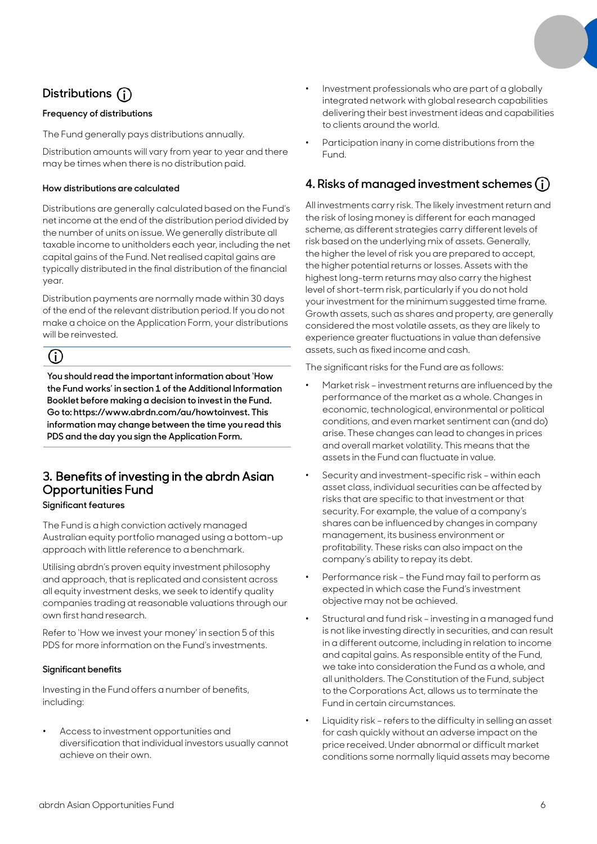# **Distributions**

### **Frequency of distributions**

The Fund generally pays distributions annually.

Distribution amounts will vary from year to year and there may be times when there is no distribution paid.

### **How distributions are calculated**

Distributions are generally calculated based on the Fund's net income at the end of the distribution period divided by the number of units on issue. We generally distribute all taxable income to unitholders each year, including the net capital gains of the Fund. Net realised capital gains are typically distributed in the final distribution of the financial year.

Distribution payments are normally made within 30 days of the end of the relevant distribution period. If you do not make a choice on the Application Form, your distributions will be reinvested.

# (i)

**You should read the important information about 'How the Fund works' in section 1 of the Additional Information Booklet before making a decision to invest in the Fund. Go to: https://www.abrdn.com/au/howtoinvest. This information may change between the time you read this PDS and the day you sign the Application Form.**

# **3.** Benefits of investing in the abrdn Asian Opportunities Fund

### **Significant features**

The Fund is a high conviction actively managed Australian equity portfolio managed using a bottom-up approach with little reference to a benchmark.

Utilising abrdn's proven equity investment philosophy and approach, that is replicated and consistent across all equity investment desks, we seek to identify quality companies trading at reasonable valuations through our own first hand research.

Refer to 'How we invest your money' in section 5 of this PDS for more information on the Fund's investments.

#### **Significant benefits**

Investing in the Fund offers a number of benefits, including:

• Access to investment opportunities and diversification that individual investors usually cannot achieve on their own.

- Investment professionals who are part of a globally integrated network with global research capabilities delivering their best investment ideas and capabilities to clients around the world.
- Participation inany in come distributions from the Fund.

### **4. Risks of managed investment schemes**

All investments carry risk. The likely investment return and the risk of losing money is different for each managed scheme, as different strategies carry different levels of risk based on the underlying mix of assets. Generally, the higher the level of risk you are prepared to accept, the higher potential returns or losses. Assets with the highest long-term returns may also carry the highest level of short-term risk, particularly if you do not hold your investment for the minimum suggested time frame. Growth assets, such as shares and property, are generally considered the most volatile assets, as they are likely to experience greater fluctuations in value than defensive assets, such as fixed income and cash.

The significant risks for the Fund are as follows:

- Market risk investment returns are influenced by the performance of the market as a whole. Changes in economic, technological, environmental or political conditions, and even market sentiment can (and do) arise. These changes can lead to changes in prices and overall market volatility. This means that the assets in the Fund can fluctuate in value.
- Security and investment-specific risk within each asset class, individual securities can be affected by risks that are specific to that investment or that security. For example, the value of a company's shares can be influenced by changes in company management, its business environment or profitability. These risks can also impact on the company's ability to repay its debt.
- Performance risk the Fund may fail to perform as expected in which case the Fund's investment objective may not be achieved.
- Structural and fund risk investing in a managed fund is not like investing directly in securities, and can result in a different outcome, including in relation to income and capital gains. As responsible entity of the Fund, we take into consideration the Fund as a whole, and all unitholders. The Constitution of the Fund, subject to the Corporations Act, allows us to terminate the Fund in certain circumstances.
- Liquidity risk refers to the difficulty in selling an asset for cash quickly without an adverse impact on the price received. Under abnormal or difficult market conditions some normally liquid assets may become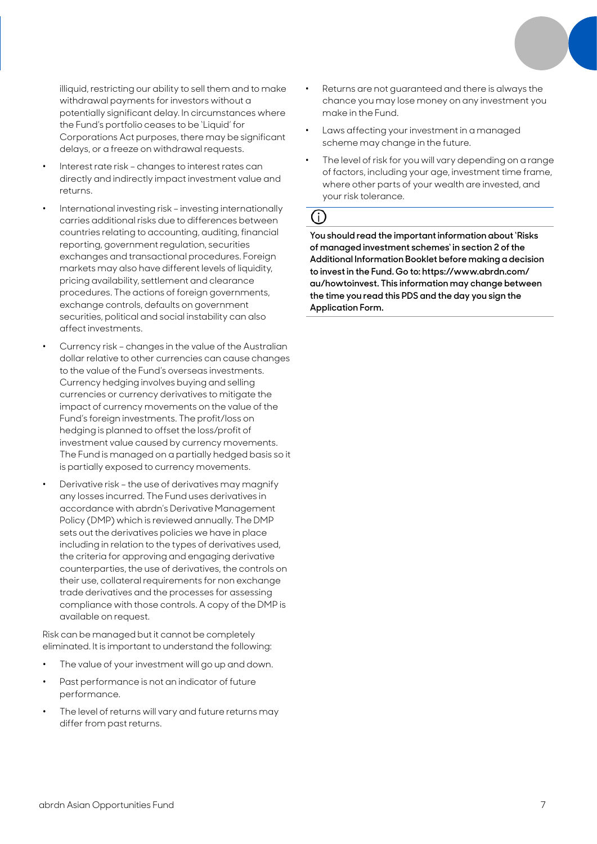illiquid, restricting our ability to sell them and to make withdrawal payments for investors without a potentially significant delay. In circumstances where the Fund's portfolio ceases to be 'Liquid' for Corporations Act purposes, there may be significant delays, or a freeze on withdrawal requests.

- Interest rate risk changes to interest rates can directly and indirectly impact investment value and returns.
- International investing risk investing internationally carries additional risks due to differences between countries relating to accounting, auditing, financial reporting, government regulation, securities exchanges and transactional procedures. Foreign markets may also have different levels of liquidity, pricing availability, settlement and clearance procedures. The actions of foreign governments, exchange controls, defaults on government securities, political and social instability can also affect investments.
- Currency risk changes in the value of the Australian dollar relative to other currencies can cause changes to the value of the Fund's overseas investments. Currency hedging involves buying and selling currencies or currency derivatives to mitigate the impact of currency movements on the value of the Fund's foreign investments. The profit/loss on hedging is planned to offset the loss/profit of investment value caused by currency movements. The Fund is managed on a partially hedged basis so it is partially exposed to currency movements.
- Derivative risk the use of derivatives may magnify any losses incurred. The Fund uses derivatives in accordance with abrdn's Derivative Management Policy (DMP) which is reviewed annually. The DMP sets out the derivatives policies we have in place including in relation to the types of derivatives used, the criteria for approving and engaging derivative counterparties, the use of derivatives, the controls on their use, collateral requirements for non exchange trade derivatives and the processes for assessing compliance with those controls. A copy of the DMP is available on request.

Risk can be managed but it cannot be completely eliminated. It is important to understand the following:

- The value of your investment will go up and down.
- Past performance is not an indicator of future performance.
- The level of returns will vary and future returns may differ from past returns.
- Returns are not guaranteed and there is always the chance you may lose money on any investment you make in the Fund.
- Laws affecting your investment in a managed scheme may change in the future.
- The level of risk for you will vary depending on a range of factors, including your age, investment time frame, where other parts of your wealth are invested, and your risk tolerance.

# 

**You should read the important information about 'Risks of managed investment schemes' in section 2 of the Additional Information Booklet before making a decision to invest in the Fund. Go to: https://www.abrdn.com/ au/howtoinvest. This information may change between the time you read this PDS and the day you sign the Application Form.**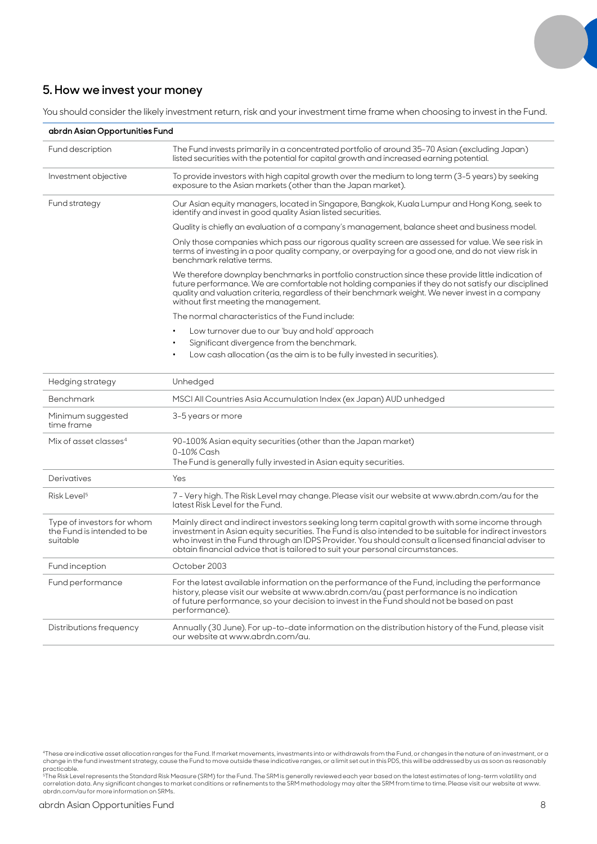### **5. How we invest your money**

You should consider the likely investment return, risk and your investment time frame when choosing to invest in the Fund.

| abrdn Asian Opportunities Fund                                       |                                                                                                                                                                                                                                                                                                                                                                                                  |  |  |  |  |  |
|----------------------------------------------------------------------|--------------------------------------------------------------------------------------------------------------------------------------------------------------------------------------------------------------------------------------------------------------------------------------------------------------------------------------------------------------------------------------------------|--|--|--|--|--|
| Fund description                                                     | The Fund invests primarily in a concentrated portfolio of around 35-70 Asian (excluding Japan)<br>listed securities with the potential for capital growth and increased earning potential.                                                                                                                                                                                                       |  |  |  |  |  |
| Investment objective                                                 | To provide investors with high capital growth over the medium to long term (3-5 years) by seeking<br>exposure to the Asian markets (other than the Japan market).                                                                                                                                                                                                                                |  |  |  |  |  |
| Fund strategy                                                        | Our Asian equity managers, located in Singapore, Bangkok, Kuala Lumpur and Hong Kong, seek to<br>identify and invest in good quality Asian listed securities.                                                                                                                                                                                                                                    |  |  |  |  |  |
|                                                                      | Quality is chiefly an evaluation of a company's management, balance sheet and business model.                                                                                                                                                                                                                                                                                                    |  |  |  |  |  |
|                                                                      | Only those companies which pass our rigorous quality screen are assessed for value. We see risk in<br>terms of investing in a poor quality company, or overpaying for a good one, and do not view risk in<br>benchmark relative terms.                                                                                                                                                           |  |  |  |  |  |
|                                                                      | We therefore downplay benchmarks in portfolio construction since these provide little indication of<br>future performance. We are comfortable not holding companies if they do not satisfy our disciplined<br>quality and valuation criteria, regardless of their benchmark weight. We never invest in a company<br>without first meeting the management.                                        |  |  |  |  |  |
|                                                                      | The normal characteristics of the Fund include:                                                                                                                                                                                                                                                                                                                                                  |  |  |  |  |  |
|                                                                      | Low turnover due to our 'buy and hold' approach                                                                                                                                                                                                                                                                                                                                                  |  |  |  |  |  |
|                                                                      | Significant divergence from the benchmark.<br>$\bullet$                                                                                                                                                                                                                                                                                                                                          |  |  |  |  |  |
|                                                                      | Low cash allocation (as the aim is to be fully invested in securities).                                                                                                                                                                                                                                                                                                                          |  |  |  |  |  |
| Hedging strategy                                                     | Unhedged                                                                                                                                                                                                                                                                                                                                                                                         |  |  |  |  |  |
| <b>Benchmark</b>                                                     | MSCI All Countries Asia Accumulation Index (ex Japan) AUD unhedged                                                                                                                                                                                                                                                                                                                               |  |  |  |  |  |
| Minimum suggested<br>time frame                                      | 3-5 years or more                                                                                                                                                                                                                                                                                                                                                                                |  |  |  |  |  |
| Mix of asset classes <sup>4</sup>                                    | 90-100% Asian equity securities (other than the Japan market)                                                                                                                                                                                                                                                                                                                                    |  |  |  |  |  |
|                                                                      | 0-10% Cash<br>The Fund is generally fully invested in Asian equity securities.                                                                                                                                                                                                                                                                                                                   |  |  |  |  |  |
| Derivatives                                                          | Yes                                                                                                                                                                                                                                                                                                                                                                                              |  |  |  |  |  |
| Risk Level <sup>5</sup>                                              | 7 - Very high. The Risk Level may change. Please visit our website at www.abrdn.com/au for the<br>latest Risk Level for the Fund.                                                                                                                                                                                                                                                                |  |  |  |  |  |
| Type of investors for whom<br>the Fund is intended to be<br>suitable | Mainly direct and indirect investors seeking long term capital growth with some income through<br>investment in Asian equity securities. The Fund is also intended to be suitable for indirect investors<br>who invest in the Fund through an IDPS Provider. You should consult a licensed financial adviser to<br>obtain financial advice that is tailored to suit your personal circumstances. |  |  |  |  |  |
| Fund inception                                                       | October 2003                                                                                                                                                                                                                                                                                                                                                                                     |  |  |  |  |  |
| Fund performance                                                     | For the latest available information on the performance of the Fund, including the performance<br>history, please visit our website at www.abrdn.com/au (past performance is no indication<br>of future performance, so your decision to invest in the Fund should not be based on past<br>performance).                                                                                         |  |  |  |  |  |
| Distributions frequency                                              | Annually (30 June). For up-to-date information on the distribution history of the Fund, please visit<br>our website at www.abrdn.com/au.                                                                                                                                                                                                                                                         |  |  |  |  |  |

change in the fund investment strategy, cause the Fund to move outside these indicative ranges, or a limit set out in this PDS, this will be addressed by us as soon as reasonably<br>practicable.<br>\*The Risk Level represents the

<sup>4</sup>These are indicative asset allocation ranges for the Fund. If market movements, investments into or withdrawals from the Fund, or changes in the nature of an investment, or a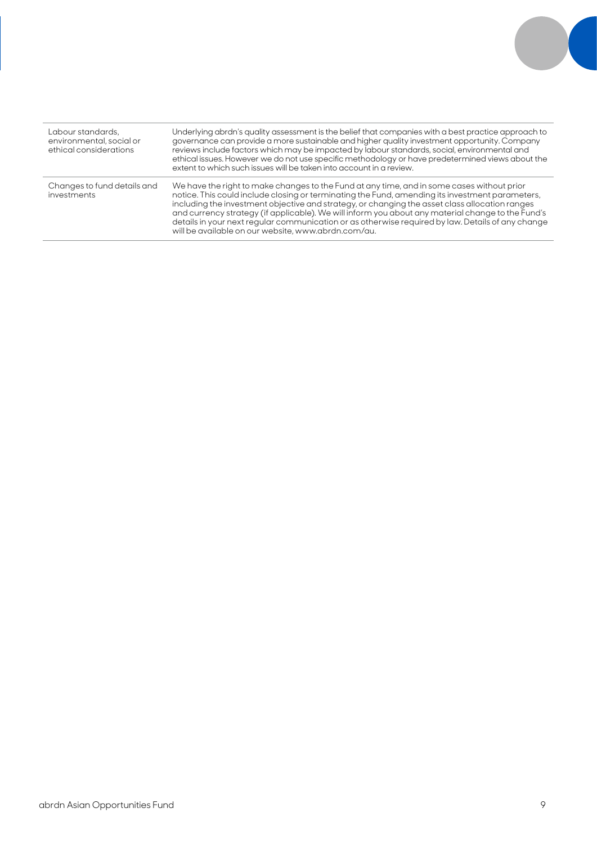| Labour standards.<br>environmental, social or<br>ethical considerations | Underlying abrdn's quality assessment is the belief that companies with a best practice approach to<br>governance can provide a more sustainable and higher quality investment opportunity. Company<br>reviews include factors which may be impacted by labour standards, social, environmental and<br>ethical issues. However we do not use specific methodology or have predetermined views about the<br>extent to which such issues will be taken into account in a review.                                                                                   |
|-------------------------------------------------------------------------|------------------------------------------------------------------------------------------------------------------------------------------------------------------------------------------------------------------------------------------------------------------------------------------------------------------------------------------------------------------------------------------------------------------------------------------------------------------------------------------------------------------------------------------------------------------|
| Changes to fund details and<br>investments                              | We have the right to make changes to the Fund at any time, and in some cases without prior<br>notice. This could include closing or terminating the Fund, amending its investment parameters,<br>including the investment objective and strategy, or changing the asset class allocation ranges<br>and currency strategy (if applicable). We will inform you about any material change to the Fund's<br>details in your next regular communication or as otherwise required by law. Details of any change<br>will be available on our website, www.abrdn.com/au. |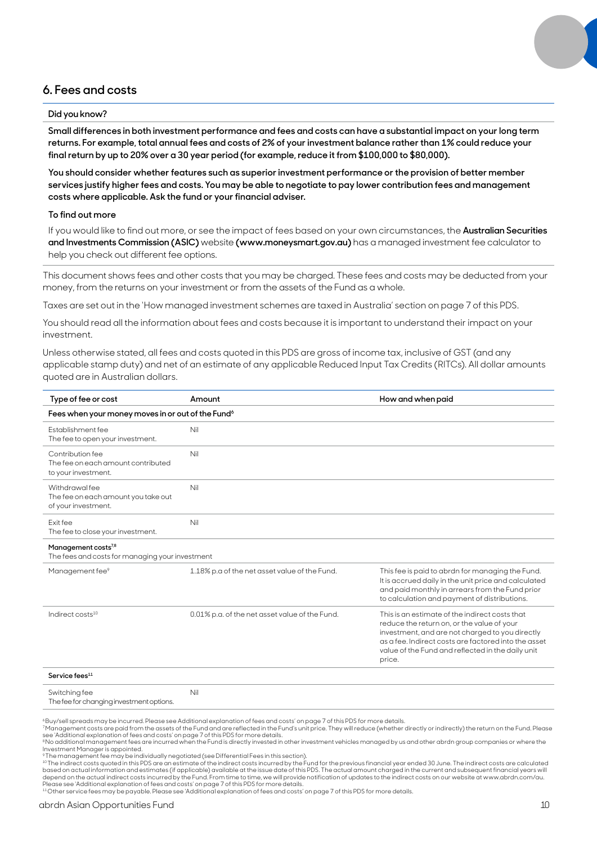### **6. Fees and costs**

### **Did you know?**

**Small differences in both investment performance and fees and costs can have a substantial impact on your long term returns. For example, total annual fees and costs of 2% of your investment balance rather than 1% could reduce your final return by up to 20% over a 30 year period (for example, reduce it from \$100,000 to \$80,000).**

**You should consider whether features such as superior investment performance or the provision of better member services justify higher fees and costs. You may be able to negotiate to pay lower contribution fees and management costs where applicable. Ask the fund or your financial adviser.**

### **To find out more**

If you would like to find out more, or see the impact of fees based on your own circumstances, the **Australian Securities and Investments Commission (ASIC)** website **(www.moneysmart.gov.au)** has a managed investment fee calculator to help you check out different fee options.

This document shows fees and other costs that you may be charged. These fees and costs may be deducted from your money, from the returns on your investment or from the assets of the Fund as a whole.

Taxes are set out in the 'How managed investment schemes are taxed in Australia' section on page 7 of this PDS.

You should read all the information about fees and costs because it is important to understand their impact on your investment.

Unless otherwise stated, all fees and costs quoted in this PDS are gross of income tax, inclusive of GST (and any applicable stamp duty) and net of an estimate of any applicable Reduced Input Tax Credits (RITCs). All dollar amounts quoted are in Australian dollars.

| Type of fee or cost                                                                | Amount                                         | How and when paid                                                                                                                                                                                                                                                      |  |  |  |  |
|------------------------------------------------------------------------------------|------------------------------------------------|------------------------------------------------------------------------------------------------------------------------------------------------------------------------------------------------------------------------------------------------------------------------|--|--|--|--|
| Fees when your money moves in or out of the Fund <sup>6</sup>                      |                                                |                                                                                                                                                                                                                                                                        |  |  |  |  |
| Establishment fee<br>The fee to open your investment.                              | Nil                                            |                                                                                                                                                                                                                                                                        |  |  |  |  |
| Contribution fee<br>The fee on each amount contributed<br>to your investment.      | Nil                                            |                                                                                                                                                                                                                                                                        |  |  |  |  |
| Withdrawal fee<br>The fee on each amount you take out<br>of your investment.       | Nil                                            |                                                                                                                                                                                                                                                                        |  |  |  |  |
| Fxit fee<br>The fee to close your investment.                                      | Nil                                            |                                                                                                                                                                                                                                                                        |  |  |  |  |
| Management costs <sup>7,8</sup><br>The fees and costs for managing your investment |                                                |                                                                                                                                                                                                                                                                        |  |  |  |  |
| Management fee <sup>9</sup>                                                        | 1.18% p.a of the net asset value of the Fund.  | This fee is paid to abrdn for managing the Fund.<br>It is accrued daily in the unit price and calculated<br>and paid monthly in arrears from the Fund prior<br>to calculation and payment of distributions.                                                            |  |  |  |  |
| Indirect costs <sup>10</sup>                                                       | 0.01% p.a. of the net asset value of the Fund. | This is an estimate of the indirect costs that<br>reduce the return on, or the value of your<br>investment, and are not charged to you directly<br>as a fee. Indirect costs are factored into the asset<br>value of the Fund and reflected in the daily unit<br>price. |  |  |  |  |
| Service fees <sup>11</sup>                                                         |                                                |                                                                                                                                                                                                                                                                        |  |  |  |  |
| Switching fee                                                                      | Nil                                            |                                                                                                                                                                                                                                                                        |  |  |  |  |

The fee for changing investment options.

6 Buy/sell spreads may be incurred. Please see Additional explanation of fees and costs' on page 7 of this PDS for more details.

<sup>7</sup>Management costs are paid from the assets of the Fund and are reflected in the Fund's unit price. They will reduce (whether directly or indirectly) the return on the Fund. Please<br>see 'Additional explanation of fees and

Investment Manager is appointed.

°The management fee may be individually negotiated (see Differential Fees in this section).<br>1ºThe indirect costs quoted in this PDS are an estimate of the indirect costs incurred by the Fund for the previous financial year based on actual information and estimates (if applicable) available at the issue date of this PDS. The actual amount charged in the current and subsequent financial years will<br>depend on the actual indirect costs incurred b

Please see 'Additional explanation of fees and costs' on page 7 of this PDS for more details.<br><sup>11</sup> Other service fees may be payable. Please see 'Additional explanation of fees and costs' on page 7 of this PDS for more det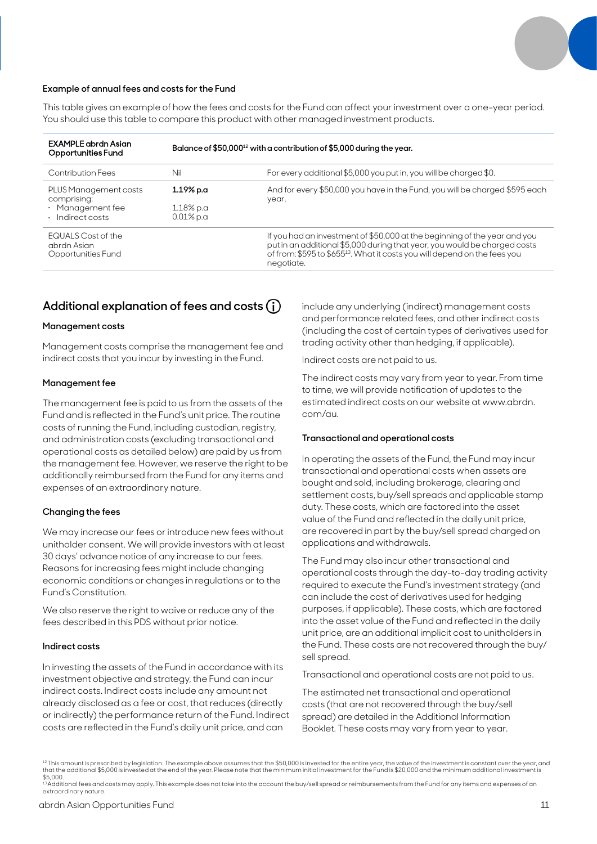

### **Example of annual fees and costs for the Fund**

This table gives an example of how the fees and costs for the Fund can affect your investment over a one-year period. You should use this table to compare this product with other managed investment products.

| <b>EXAMPLE</b> abrdn Asian<br>Opportunities Fund                                   | Balance of \$50,000 $^{12}$ with a contribution of \$5,000 during the year. |                                                                                                                                                                                                                                                               |  |
|------------------------------------------------------------------------------------|-----------------------------------------------------------------------------|---------------------------------------------------------------------------------------------------------------------------------------------------------------------------------------------------------------------------------------------------------------|--|
| Contribution Fees                                                                  | Nil                                                                         | For every additional \$5,000 you put in, you will be charged \$0.                                                                                                                                                                                             |  |
| PLUS Management costs<br>comprising:<br>$\cdot$ Management fee<br>· Indirect costs | 1.19% p.a<br>1.18% p.a<br>$0.01\%$ p.a                                      | And for every \$50,000 you have in the Fund, you will be charged \$595 each<br>year.                                                                                                                                                                          |  |
| <b>EQUALS Cost of the</b><br>abrdn Asian<br>Opportunities Fund                     |                                                                             | If you had an investment of \$50,000 at the beginning of the year and you<br>put in an additional \$5,000 during that year, you would be charged costs<br>of from: \$595 to \$655 <sup>13</sup> . What it costs you will depend on the fees you<br>negotiate. |  |

### **Additional explanation of fees and costs**

### **Management costs**

Management costs comprise the management fee and indirect costs that you incur by investing in the Fund.

### **Management fee**

The management fee is paid to us from the assets of the Fund and is reflected in the Fund's unit price. The routine costs of running the Fund, including custodian, registry, and administration costs (excluding transactional and operational costs as detailed below) are paid by us from the management fee. However, we reserve the right to be additionally reimbursed from the Fund for any items and expenses of an extraordinary nature.

### **Changing the fees**

We may increase our fees or introduce new fees without unitholder consent. We will provide investors with at least 30 days' advance notice of any increase to our fees. Reasons for increasing fees might include changing economic conditions or changes in regulations or to the Fund's Constitution.

We also reserve the right to waive or reduce any of the fees described in this PDS without prior notice.

### **Indirect costs**

In investing the assets of the Fund in accordance with its investment objective and strategy, the Fund can incur indirect costs. Indirect costs include any amount not already disclosed as a fee or cost, that reduces (directly or indirectly) the performance return of the Fund. Indirect costs are reflected in the Fund's daily unit price, and can

include any underlying (indirect) management costs and performance related fees, and other indirect costs (including the cost of certain types of derivatives used for trading activity other than hedging, if applicable).

Indirect costs are not paid to us.

The indirect costs may vary from year to year. From time to time, we will provide notification of updates to the estimated indirect costs on our website at www.abrdn. com/au.

#### **Transactional and operational costs**

In operating the assets of the Fund, the Fund may incur transactional and operational costs when assets are bought and sold, including brokerage, clearing and settlement costs, buy/sell spreads and applicable stamp duty. These costs, which are factored into the asset value of the Fund and reflected in the daily unit price, are recovered in part by the buy/sell spread charged on applications and withdrawals.

The Fund may also incur other transactional and operational costs through the day-to-day trading activity required to execute the Fund's investment strategy (and can include the cost of derivatives used for hedging purposes, if applicable). These costs, which are factored into the asset value of the Fund and reflected in the daily unit price, are an additional implicit cost to unitholders in the Fund. These costs are not recovered through the buy/ sell spread.

Transactional and operational costs are not paid to us.

The estimated net transactional and operational costs (that are not recovered through the buy/sell spread) are detailed in the Additional Information Booklet. These costs may vary from year to year.

<sup>12</sup> This amount is prescribed by legislation. The example above assumes that the \$50,000 is invested for the entire year, the value of the investment is constant over the year, and that the additional \$5,000 is invested at the end of the year. Please note that the minimum initial investment for the Fund is \$20,000 and the minimum additional investment is<br>\$5,000. 13 Additional fees and costs may apply. This example does not take into the account the buy/sell spread or reimbursements from the Fund for any items and expenses of an

extraordinary nature.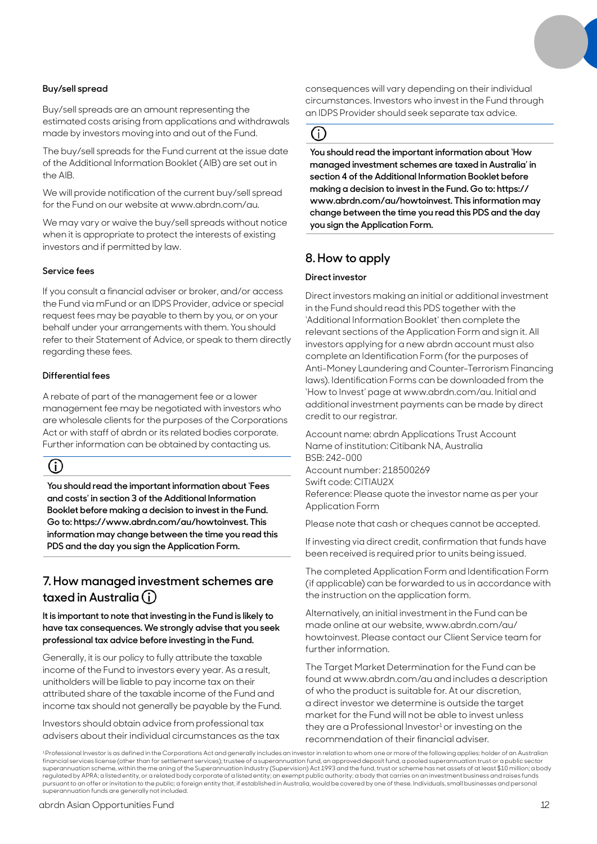### **Buy/sell spread**

Buy/sell spreads are an amount representing the estimated costs arising from applications and withdrawals made by investors moving into and out of the Fund.

The buy/sell spreads for the Fund current at the issue date of the Additional Information Booklet (AIB) are set out in the AIB.

We will provide notification of the current buy/sell spread for the Fund on our website at www.abrdn.com/au.

We may vary or waive the buy/sell spreads without notice when it is appropriate to protect the interests of existing investors and if permitted by law.

### **Service fees**

If you consult a financial adviser or broker, and/or access the Fund via mFund or an IDPS Provider, advice or special request fees may be payable to them by you, or on your behalf under your arrangements with them. You should refer to their Statement of Advice, or speak to them directly regarding these fees.

### **Differential fees**

A rebate of part of the management fee or a lower management fee may be negotiated with investors who are wholesale clients for the purposes of the Corporations Act or with staff of abrdn or its related bodies corporate. Further information can be obtained by contacting us.

# (i)

**You should read the important information about 'Fees and costs' in section 3 of the Additional Information Booklet before making a decision to invest in the Fund. Go to: https://www.abrdn.com/au/howtoinvest. This information may change between the time you read this PDS and the day you sign the Application Form.**

### **7. How managed investment schemes are taxed in Australia**

**It is important to note that investing in the Fund is likely to have tax consequences. We strongly advise that you seek professional tax advice before investing in the Fund.**

Generally, it is our policy to fully attribute the taxable income of the Fund to investors every year. As a result, unitholders will be liable to pay income tax on their attributed share of the taxable income of the Fund and income tax should not generally be payable by the Fund.

Investors should obtain advice from professional tax advisers about their individual circumstances as the tax consequences will vary depending on their individual circumstances. Investors who invest in the Fund through an IDPS Provider should seek separate tax advice.

### (i)

**You should read the important information about 'How managed investment schemes are taxed in Australia' in section 4 of the Additional Information Booklet before making a decision to invest in the Fund. Go to: https:// www.abrdn.com/au/howtoinvest. This information may change between the time you read this PDS and the day you sign the Application Form.**

# **8. How to apply**

### **Direct investor**

Direct investors making an initial or additional investment in the Fund should read this PDS together with the 'Additional Information Booklet' then complete the relevant sections of the Application Form and sign it. All investors applying for a new abrdn account must also complete an Identification Form (for the purposes of Anti-Money Laundering and Counter-Terrorism Financing laws). Identification Forms can be downloaded from the 'How to Invest' page at www.abrdn.com/au. Initial and additional investment payments can be made by direct credit to our registrar.

Account name: abrdn Applications Trust Account Name of institution: Citibank NA, Australia BSB: 242-000 Account number: 218500269 Swift code: CITIAU2X Reference: Please quote the investor name as per your Application Form

Please note that cash or cheques cannot be accepted.

If investing via direct credit, confirmation that funds have been received is required prior to units being issued.

The completed Application Form and Identification Form (if applicable) can be forwarded to us in accordance with the instruction on the application form.

Alternatively, an initial investment in the Fund can be made online at our website, www.abrdn.com/au/ howtoinvest. Please contact our Client Service team for further information.

The Target Market Determination for the Fund can be found at www.abrdn.com/au and includes a description of who the product is suitable for. At our discretion, a direct investor we determine is outside the target market for the Fund will not be able to invest unless they are a Professional Investor $1$  or investing on the recommendation of their financial adviser.

<sup>1</sup> Professional Investor is as defined in the Corporations Act and generally includes an investor in relation to whom one or more of the following applies: holder of an Australian financial services license (other than for settlement services); trustee of a superannuation fund, an approved deposit fund, a pooled superannuation trust or a public sector<br>superannuation scheme, within the me aning of th regulated by APRA; a listed entity, or a related body corporate of a listed entity; an exempt public authority; a body that carries on an investment business and raises funds pursuant to an offer or invitation to the public; a foreign entity that, if established in Australia, would be covered by one of these. Individuals, small businesses and personal superannuation funds are generally not included.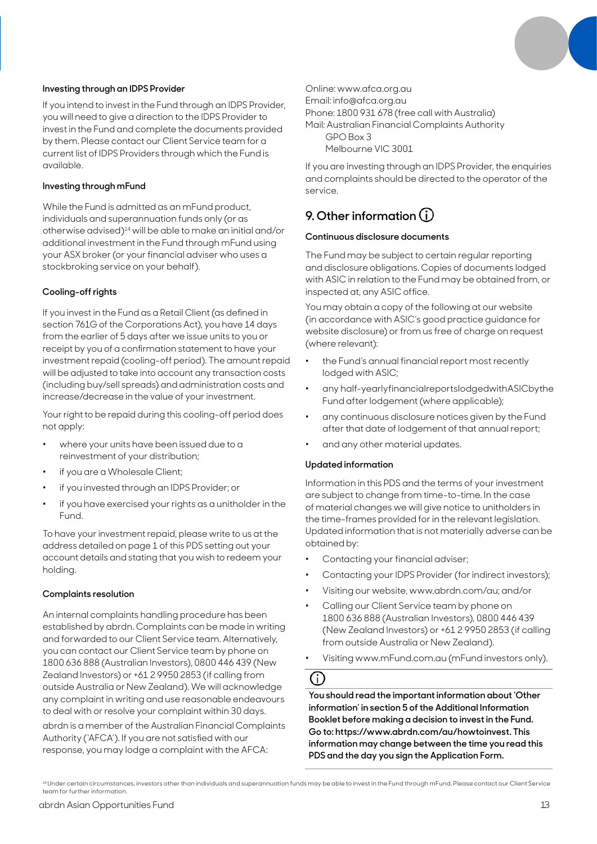

### **Investing through an IDPS Provider**

If you intend to invest in the Fund through an IDPS Provider, you will need to give a direction to the IDPS Provider to invest in the Fund and complete the documents provided by them. Please contact our Client Service team for a current list of IDPS Providers through which the Fund is available.

### **Investing through mFund**

While the Fund is admitted as an mFund product, individuals and superannuation funds only (or as otherwise advised)14 will be able to make an initial and/or additional investment in the Fund through mFund using your ASX broker (or your financial adviser who uses a stockbroking service on your behalf).

### **Cooling-off rights**

If you invest in the Fund as a Retail Client (as defined in section 761G of the Corporations Act), you have 14 days from the earlier of 5 days after we issue units to you or receipt by you of a confirmation statement to have your investment repaid (cooling-off period). The amount repaid will be adjusted to take into account any transaction costs (including buy/sell spreads) and administration costs and increase/decrease in the value of your investment.

Your right to be repaid during this cooling-off period does not apply:

- where your units have been issued due to a reinvestment of your distribution;
- if you are a Wholesale Client;
- if you invested through an IDPS Provider; or
- if you have exercised your rights as a unitholder in the Fund.

To have your investment repaid, please write to us at the address detailed on page 1 of this PDS setting out your account details and stating that you wish to redeem your holding.

#### **Complaints resolution**

An internal complaints handling procedure has been established by abrdn. Complaints can be made in writing and forwarded to our Client Service team. Alternatively, you can contact our Client Service team by phone on 1800 636 888 (Australian Investors), 0800 446 439 (New Zealand Investors) or +61 2 9950 2853 (if calling from outside Australia or New Zealand). We will acknowledge any complaint in writing and use reasonable endeavours to deal with or resolve your complaint within 30 days.

abrdn is a member of the Australian Financial Complaints Authority ('AFCA'). If you are not satisfied with our response, you may lodge a complaint with the AFCA:

Online: www.afca.org.au

Email: info@afca.org.au

Phone: 1800 931 678 (free call with Australia)

Mail: Australian Financial Complaints Authority GPO Box 3

Melbourne VIC 3001

If you are investing through an IDPS Provider, the enquiries and complaints should be directed to the operator of the service.

# **9. Other information**

### **Continuous disclosure documents**

The Fund may be subject to certain regular reporting and disclosure obligations. Copies of documents lodged with ASIC in relation to the Fund may be obtained from, or inspected at, any ASIC office.

You may obtain a copy of the following at our website (in accordance with ASIC's good practice guidance for website disclosure) or from us free of charge on request (where relevant):

- the Fund's annual financial report most recently lodged with ASIC;
- any half-yearlyfinancialreportslodgedwithASICbythe Fund after lodgement (where applicable);
- any continuous disclosure notices given by the Fund after that date of lodgement of that annual report;
- and any other material updates.

### **Updated information**

Information in this PDS and the terms of your investment are subject to change from time-to-time. In the case of material changes we will give notice to unitholders in the time-frames provided for in the relevant legislation. Updated information that is not materially adverse can be obtained by:

- Contacting your financial adviser;
- Contacting your IDPS Provider (for indirect investors);
- Visiting our website, www.abrdn.com/au; and/or
- Calling our Client Service team by phone on 1800 636 888 (Australian Investors), 0800 446 439 (New Zealand Investors) or +61 2 9950 2853 (if calling from outside Australia or New Zealand).
- Visiting www.mFund.com.au (mFund investors only).

### Œ

**You should read the important information about 'Other information' in section 5 of the Additional Information Booklet before making a decision to invest in the Fund. Go to: https://www.abrdn.com/au/howtoinvest. This information may change between the time you read this PDS and the day you sign the Application Form.**

<sup>14</sup> Under certain circumstances, investors other than individuals and superannuation funds may be able to invest in the Fund through mFund. Please contact our Client Service team for further information.